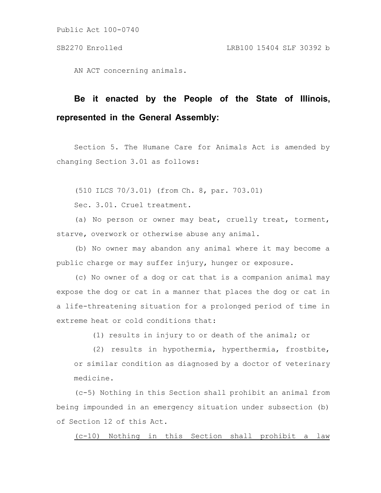Public Act 100-0740

AN ACT concerning animals.

## **Be it enacted by the People of the State of Illinois, represented in the General Assembly:**

Section 5. The Humane Care for Animals Act is amended by changing Section 3.01 as follows:

(510 ILCS 70/3.01) (from Ch. 8, par. 703.01)

Sec. 3.01. Cruel treatment.

(a) No person or owner may beat, cruelly treat, torment, starve, overwork or otherwise abuse any animal.

(b) No owner may abandon any animal where it may become a public charge or may suffer injury, hunger or exposure.

(c) No owner of a dog or cat that is a companion animal may expose the dog or cat in a manner that places the dog or cat in a life-threatening situation for a prolonged period of time in extreme heat or cold conditions that:

(1) results in injury to or death of the animal; or

(2) results in hypothermia, hyperthermia, frostbite, or similar condition as diagnosed by a doctor of veterinary medicine.

(c-5) Nothing in this Section shall prohibit an animal from being impounded in an emergency situation under subsection (b) of Section 12 of this Act.

(c-10) Nothing in this Section shall prohibit a law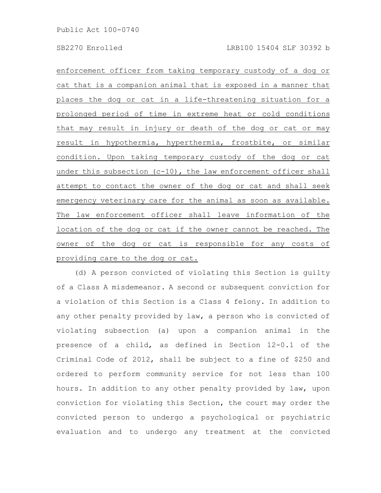enforcement officer from taking temporary custody of a dog or cat that is a companion animal that is exposed in a manner that places the dog or cat in a life-threatening situation for a prolonged period of time in extreme heat or cold conditions that may result in injury or death of the dog or cat or may result in hypothermia, hyperthermia, frostbite, or similar condition. Upon taking temporary custody of the dog or cat under this subsection (c-10), the law enforcement officer shall attempt to contact the owner of the dog or cat and shall seek emergency veterinary care for the animal as soon as available. The law enforcement officer shall leave information of the location of the dog or cat if the owner cannot be reached. The owner of the dog or cat is responsible for any costs of providing care to the dog or cat.

(d) A person convicted of violating this Section is guilty of a Class A misdemeanor. A second or subsequent conviction for a violation of this Section is a Class 4 felony. In addition to any other penalty provided by law, a person who is convicted of violating subsection (a) upon a companion animal in the presence of a child, as defined in Section 12-0.1 of the Criminal Code of 2012, shall be subject to a fine of \$250 and ordered to perform community service for not less than 100 hours. In addition to any other penalty provided by law, upon conviction for violating this Section, the court may order the convicted person to undergo a psychological or psychiatric evaluation and to undergo any treatment at the convicted